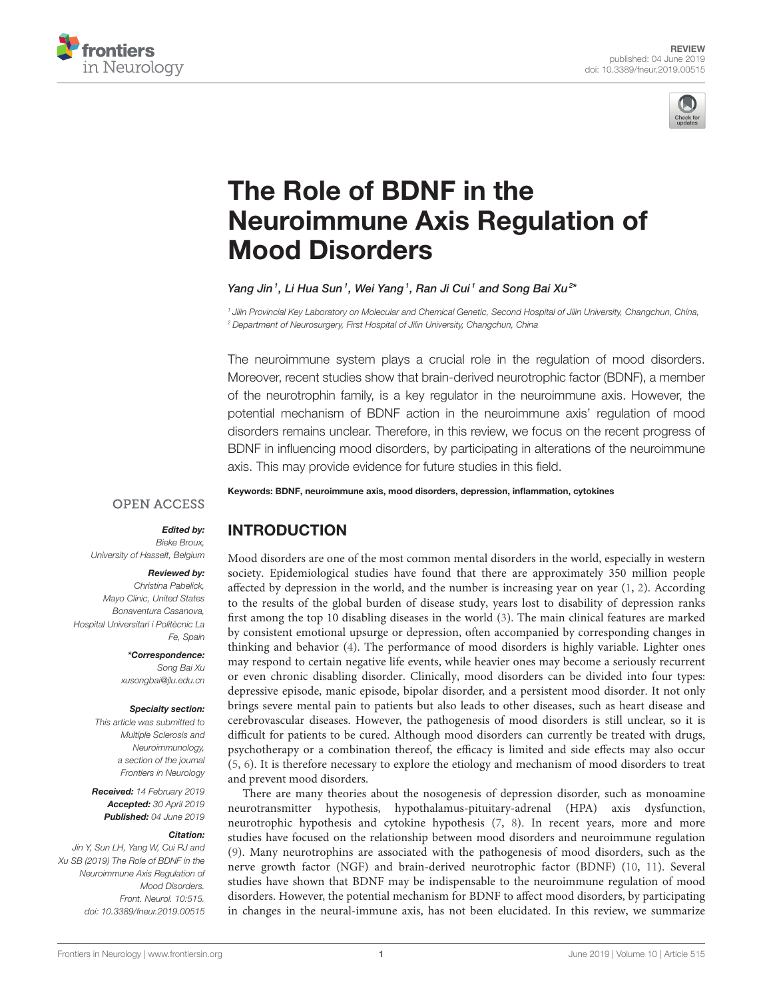



# The Role of BDNF in the [Neuroimmune Axis Regulation of](https://www.frontiersin.org/articles/10.3389/fneur.2019.00515/full) Mood Disorders

#### Yang Jin<sup>1</sup>, Li Hua Sun<sup>1</sup>, Wei Yang<sup>1</sup>, [Ran Ji Cui](http://loop.frontiersin.org/people/335729/overview)<sup>1</sup> and Song Bai Xu<sup>2</sup>'

<sup>1</sup> Jilin Provincial Key Laboratory on Molecular and Chemical Genetic, Second Hospital of Jilin University, Changchun, China, <sup>2</sup> Department of Neurosurgery, First Hospital of Jilin University, Changchun, China

The neuroimmune system plays a crucial role in the regulation of mood disorders. Moreover, recent studies show that brain-derived neurotrophic factor (BDNF), a member of the neurotrophin family, is a key regulator in the neuroimmune axis. However, the potential mechanism of BDNF action in the neuroimmune axis' regulation of mood disorders remains unclear. Therefore, in this review, we focus on the recent progress of BDNF in influencing mood disorders, by participating in alterations of the neuroimmune axis. This may provide evidence for future studies in this field.

Keywords: BDNF, neuroimmune axis, mood disorders, depression, inflammation, cytokines

#### **OPEN ACCESS**

#### Edited by:

Bieke Broux, University of Hasselt, Belgium

#### Reviewed by:

Christina Pabelick, Mayo Clinic, United States Bonaventura Casanova, Hospital Universitari i Politècnic La Fe, Spain

> \*Correspondence: Song Bai Xu [xusongbai@jlu.edu.cn](mailto:xusongbai@jlu.edu.cn)

#### Specialty section:

This article was submitted to Multiple Sclerosis and Neuroimmunology, a section of the journal Frontiers in Neurology

Received: 14 February 2019 Accepted: 30 April 2019 Published: 04 June 2019

#### Citation:

Jin Y, Sun LH, Yang W, Cui RJ and Xu SB (2019) The Role of BDNF in the Neuroimmune Axis Regulation of Mood Disorders. Front. Neurol. 10:515. doi: [10.3389/fneur.2019.00515](https://doi.org/10.3389/fneur.2019.00515)

## INTRODUCTION

Mood disorders are one of the most common mental disorders in the world, especially in western society. Epidemiological studies have found that there are approximately 350 million people affected by depression in the world, and the number is increasing year on year [\(1,](#page-6-0) [2\)](#page-6-1). According to the results of the global burden of disease study, years lost to disability of depression ranks first among the top 10 disabling diseases in the world [\(3\)](#page-6-2). The main clinical features are marked by consistent emotional upsurge or depression, often accompanied by corresponding changes in thinking and behavior [\(4\)](#page-6-3). The performance of mood disorders is highly variable. Lighter ones may respond to certain negative life events, while heavier ones may become a seriously recurrent or even chronic disabling disorder. Clinically, mood disorders can be divided into four types: depressive episode, manic episode, bipolar disorder, and a persistent mood disorder. It not only brings severe mental pain to patients but also leads to other diseases, such as heart disease and cerebrovascular diseases. However, the pathogenesis of mood disorders is still unclear, so it is difficult for patients to be cured. Although mood disorders can currently be treated with drugs, psychotherapy or a combination thereof, the efficacy is limited and side effects may also occur [\(5,](#page-6-4) [6\)](#page-6-5). It is therefore necessary to explore the etiology and mechanism of mood disorders to treat and prevent mood disorders.

There are many theories about the nosogenesis of depression disorder, such as monoamine neurotransmitter hypothesis, hypothalamus-pituitary-adrenal (HPA) axis dysfunction, neurotrophic hypothesis and cytokine hypothesis [\(7,](#page-6-6) [8\)](#page-6-7). In recent years, more and more studies have focused on the relationship between mood disorders and neuroimmune regulation [\(9\)](#page-6-8). Many neurotrophins are associated with the pathogenesis of mood disorders, such as the nerve growth factor (NGF) and brain-derived neurotrophic factor (BDNF) [\(10,](#page-6-9) [11\)](#page-6-10). Several studies have shown that BDNF may be indispensable to the neuroimmune regulation of mood disorders. However, the potential mechanism for BDNF to affect mood disorders, by participating in changes in the neural-immune axis, has not been elucidated. In this review, we summarize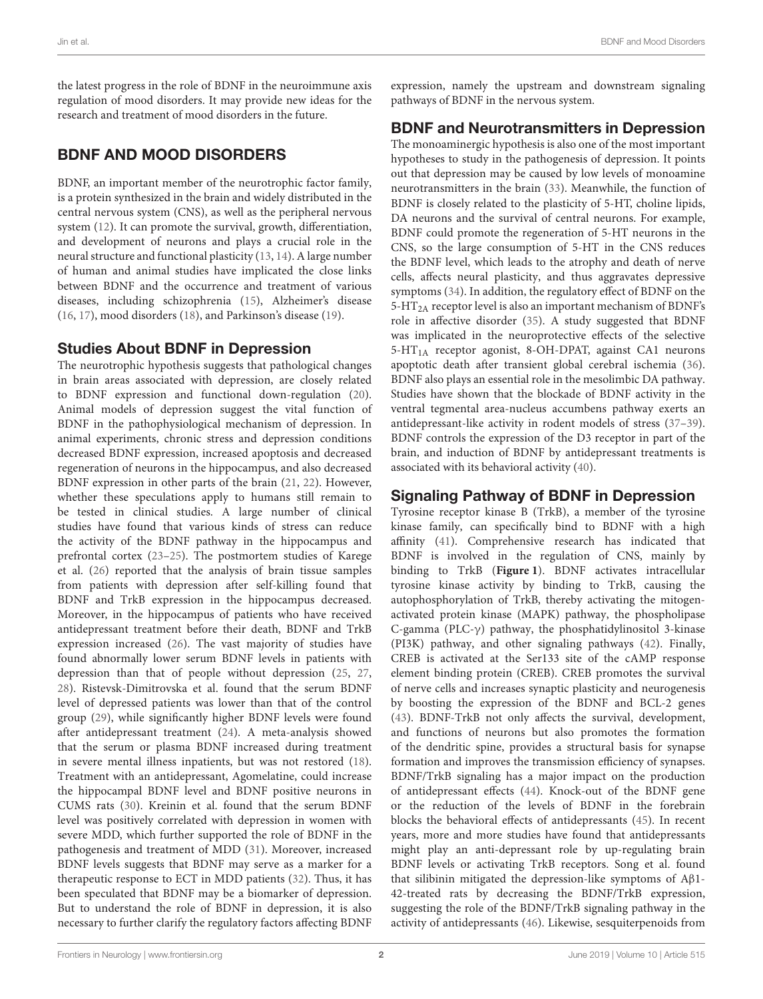the latest progress in the role of BDNF in the neuroimmune axis regulation of mood disorders. It may provide new ideas for the research and treatment of mood disorders in the future.

# BDNF AND MOOD DISORDERS

BDNF, an important member of the neurotrophic factor family, is a protein synthesized in the brain and widely distributed in the central nervous system (CNS), as well as the peripheral nervous system [\(12\)](#page-6-11). It can promote the survival, growth, differentiation, and development of neurons and plays a crucial role in the neural structure and functional plasticity [\(13,](#page-6-12) [14\)](#page-6-13). A large number of human and animal studies have implicated the close links between BDNF and the occurrence and treatment of various diseases, including schizophrenia [\(15\)](#page-6-14), Alzheimer's disease [\(16,](#page-6-15) [17\)](#page-6-16), mood disorders [\(18\)](#page-6-17), and Parkinson's disease [\(19\)](#page-6-18).

#### Studies About BDNF in Depression

The neurotrophic hypothesis suggests that pathological changes in brain areas associated with depression, are closely related to BDNF expression and functional down-regulation [\(20\)](#page-6-19). Animal models of depression suggest the vital function of BDNF in the pathophysiological mechanism of depression. In animal experiments, chronic stress and depression conditions decreased BDNF expression, increased apoptosis and decreased regeneration of neurons in the hippocampus, and also decreased BDNF expression in other parts of the brain [\(21,](#page-6-20) [22\)](#page-6-21). However, whether these speculations apply to humans still remain to be tested in clinical studies. A large number of clinical studies have found that various kinds of stress can reduce the activity of the BDNF pathway in the hippocampus and prefrontal cortex [\(23](#page-6-22)[–25\)](#page-6-23). The postmortem studies of Karege et al. [\(26\)](#page-6-24) reported that the analysis of brain tissue samples from patients with depression after self-killing found that BDNF and TrkB expression in the hippocampus decreased. Moreover, in the hippocampus of patients who have received antidepressant treatment before their death, BDNF and TrkB expression increased [\(26\)](#page-6-24). The vast majority of studies have found abnormally lower serum BDNF levels in patients with depression than that of people without depression [\(25,](#page-6-23) [27,](#page-6-25) [28\)](#page-6-26). Ristevsk-Dimitrovska et al. found that the serum BDNF level of depressed patients was lower than that of the control group [\(29\)](#page-6-27), while significantly higher BDNF levels were found after antidepressant treatment [\(24\)](#page-6-28). A meta-analysis showed that the serum or plasma BDNF increased during treatment in severe mental illness inpatients, but was not restored [\(18\)](#page-6-17). Treatment with an antidepressant, Agomelatine, could increase the hippocampal BDNF level and BDNF positive neurons in CUMS rats [\(30\)](#page-6-29). Kreinin et al. found that the serum BDNF level was positively correlated with depression in women with severe MDD, which further supported the role of BDNF in the pathogenesis and treatment of MDD [\(31\)](#page-6-30). Moreover, increased BDNF levels suggests that BDNF may serve as a marker for a therapeutic response to ECT in MDD patients [\(32\)](#page-6-31). Thus, it has been speculated that BDNF may be a biomarker of depression. But to understand the role of BDNF in depression, it is also necessary to further clarify the regulatory factors affecting BDNF expression, namely the upstream and downstream signaling pathways of BDNF in the nervous system.

# BDNF and Neurotransmitters in Depression

The monoaminergic hypothesis is also one of the most important hypotheses to study in the pathogenesis of depression. It points out that depression may be caused by low levels of monoamine neurotransmitters in the brain [\(33\)](#page-6-32). Meanwhile, the function of BDNF is closely related to the plasticity of 5-HT, choline lipids, DA neurons and the survival of central neurons. For example, BDNF could promote the regeneration of 5-HT neurons in the CNS, so the large consumption of 5-HT in the CNS reduces the BDNF level, which leads to the atrophy and death of nerve cells, affects neural plasticity, and thus aggravates depressive symptoms [\(34\)](#page-6-33). In addition, the regulatory effect of BDNF on the 5-HT<sub>2A</sub> receptor level is also an important mechanism of BDNF's role in affective disorder [\(35\)](#page-6-34). A study suggested that BDNF was implicated in the neuroprotective effects of the selective 5-HT1A receptor agonist, 8-OH-DPAT, against CA1 neurons apoptotic death after transient global cerebral ischemia [\(36\)](#page-6-35). BDNF also plays an essential role in the mesolimbic DA pathway. Studies have shown that the blockade of BDNF activity in the ventral tegmental area-nucleus accumbens pathway exerts an antidepressant-like activity in rodent models of stress [\(37–](#page-6-36)[39\)](#page-7-0). BDNF controls the expression of the D3 receptor in part of the brain, and induction of BDNF by antidepressant treatments is associated with its behavioral activity [\(40\)](#page-7-1).

#### Signaling Pathway of BDNF in Depression

Tyrosine receptor kinase B (TrkB), a member of the tyrosine kinase family, can specifically bind to BDNF with a high affinity [\(41\)](#page-7-2). Comprehensive research has indicated that BDNF is involved in the regulation of CNS, mainly by binding to TrkB (**[Figure 1](#page-2-0)**). BDNF activates intracellular tyrosine kinase activity by binding to TrkB, causing the autophosphorylation of TrkB, thereby activating the mitogenactivated protein kinase (MAPK) pathway, the phospholipase C-gamma (PLC-γ) pathway, the phosphatidylinositol 3-kinase (PI3K) pathway, and other signaling pathways [\(42\)](#page-7-3). Finally, CREB is activated at the Ser133 site of the cAMP response element binding protein (CREB). CREB promotes the survival of nerve cells and increases synaptic plasticity and neurogenesis by boosting the expression of the BDNF and BCL-2 genes [\(43\)](#page-7-4). BDNF-TrkB not only affects the survival, development, and functions of neurons but also promotes the formation of the dendritic spine, provides a structural basis for synapse formation and improves the transmission efficiency of synapses. BDNF/TrkB signaling has a major impact on the production of antidepressant effects [\(44\)](#page-7-5). Knock-out of the BDNF gene or the reduction of the levels of BDNF in the forebrain blocks the behavioral effects of antidepressants [\(45\)](#page-7-6). In recent years, more and more studies have found that antidepressants might play an anti-depressant role by up-regulating brain BDNF levels or activating TrkB receptors. Song et al. found that silibinin mitigated the depression-like symptoms of Aβ1- 42-treated rats by decreasing the BDNF/TrkB expression, suggesting the role of the BDNF/TrkB signaling pathway in the activity of antidepressants [\(46\)](#page-7-7). Likewise, sesquiterpenoids from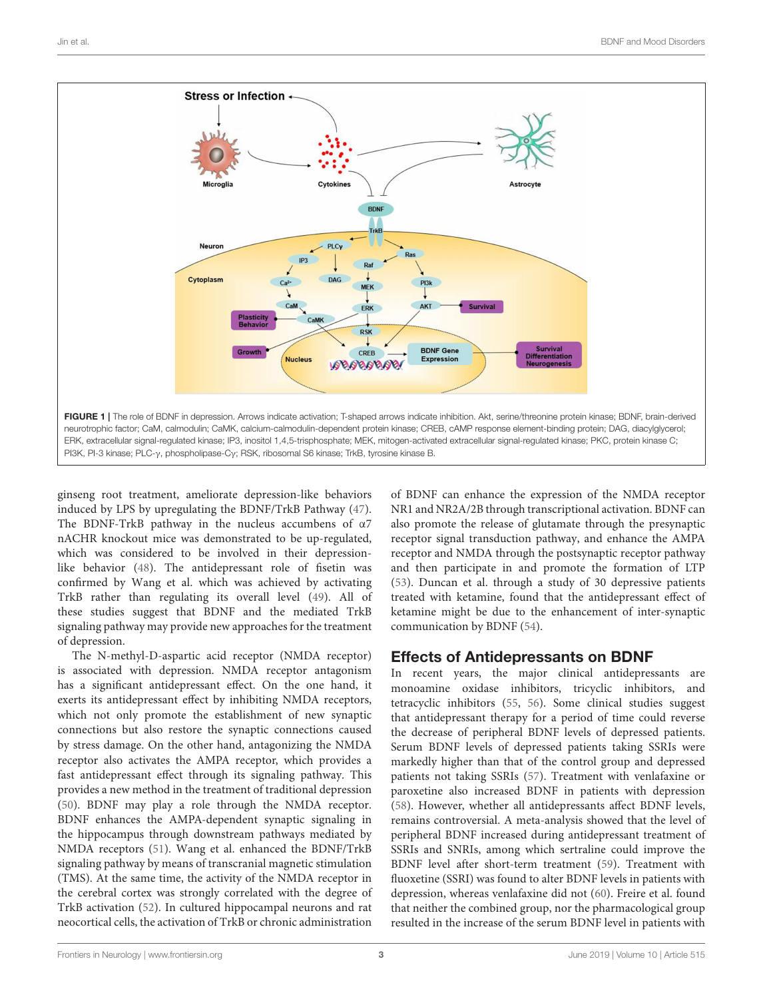

<span id="page-2-0"></span>ginseng root treatment, ameliorate depression-like behaviors induced by LPS by upregulating the BDNF/TrkB Pathway [\(47\)](#page-7-8). The BDNF-TrkB pathway in the nucleus accumbens of α7 nACHR knockout mice was demonstrated to be up-regulated, which was considered to be involved in their depressionlike behavior [\(48\)](#page-7-9). The antidepressant role of fisetin was confirmed by Wang et al. which was achieved by activating TrkB rather than regulating its overall level [\(49\)](#page-7-10). All of these studies suggest that BDNF and the mediated TrkB signaling pathway may provide new approaches for the treatment of depression.

The N-methyl-D-aspartic acid receptor (NMDA receptor) is associated with depression. NMDA receptor antagonism has a significant antidepressant effect. On the one hand, it exerts its antidepressant effect by inhibiting NMDA receptors, which not only promote the establishment of new synaptic connections but also restore the synaptic connections caused by stress damage. On the other hand, antagonizing the NMDA receptor also activates the AMPA receptor, which provides a fast antidepressant effect through its signaling pathway. This provides a new method in the treatment of traditional depression [\(50\)](#page-7-11). BDNF may play a role through the NMDA receptor. BDNF enhances the AMPA-dependent synaptic signaling in the hippocampus through downstream pathways mediated by NMDA receptors [\(51\)](#page-7-12). Wang et al. enhanced the BDNF/TrkB signaling pathway by means of transcranial magnetic stimulation (TMS). At the same time, the activity of the NMDA receptor in the cerebral cortex was strongly correlated with the degree of TrkB activation [\(52\)](#page-7-13). In cultured hippocampal neurons and rat neocortical cells, the activation of TrkB or chronic administration of BDNF can enhance the expression of the NMDA receptor NR1 and NR2A/2B through transcriptional activation. BDNF can also promote the release of glutamate through the presynaptic receptor signal transduction pathway, and enhance the AMPA receptor and NMDA through the postsynaptic receptor pathway and then participate in and promote the formation of LTP [\(53\)](#page-7-14). Duncan et al. through a study of 30 depressive patients treated with ketamine, found that the antidepressant effect of ketamine might be due to the enhancement of inter-synaptic communication by BDNF [\(54\)](#page-7-15).

## Effects of Antidepressants on BDNF

In recent years, the major clinical antidepressants are monoamine oxidase inhibitors, tricyclic inhibitors, and tetracyclic inhibitors [\(55,](#page-7-16) [56\)](#page-7-17). Some clinical studies suggest that antidepressant therapy for a period of time could reverse the decrease of peripheral BDNF levels of depressed patients. Serum BDNF levels of depressed patients taking SSRIs were markedly higher than that of the control group and depressed patients not taking SSRIs [\(57\)](#page-7-18). Treatment with venlafaxine or paroxetine also increased BDNF in patients with depression [\(58\)](#page-7-19). However, whether all antidepressants affect BDNF levels, remains controversial. A meta-analysis showed that the level of peripheral BDNF increased during antidepressant treatment of SSRIs and SNRIs, among which sertraline could improve the BDNF level after short-term treatment [\(59\)](#page-7-20). Treatment with fluoxetine (SSRI) was found to alter BDNF levels in patients with depression, whereas venlafaxine did not [\(60\)](#page-7-21). Freire et al. found that neither the combined group, nor the pharmacological group resulted in the increase of the serum BDNF level in patients with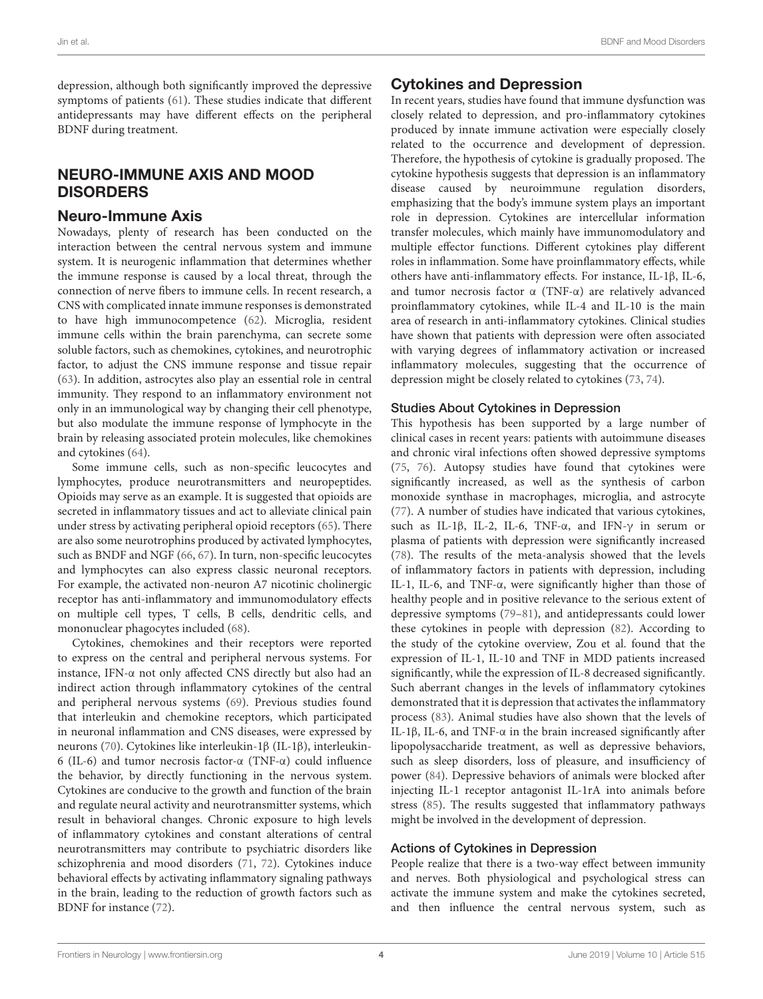depression, although both significantly improved the depressive symptoms of patients [\(61\)](#page-7-22). These studies indicate that different antidepressants may have different effects on the peripheral BDNF during treatment.

## NEURO-IMMUNE AXIS AND MOOD DISORDERS

#### Neuro-Immune Axis

Nowadays, plenty of research has been conducted on the interaction between the central nervous system and immune system. It is neurogenic inflammation that determines whether the immune response is caused by a local threat, through the connection of nerve fibers to immune cells. In recent research, a CNS with complicated innate immune responses is demonstrated to have high immunocompetence [\(62\)](#page-7-23). Microglia, resident immune cells within the brain parenchyma, can secrete some soluble factors, such as chemokines, cytokines, and neurotrophic factor, to adjust the CNS immune response and tissue repair [\(63\)](#page-7-24). In addition, astrocytes also play an essential role in central immunity. They respond to an inflammatory environment not only in an immunological way by changing their cell phenotype, but also modulate the immune response of lymphocyte in the brain by releasing associated protein molecules, like chemokines and cytokines [\(64\)](#page-7-25).

Some immune cells, such as non-specific leucocytes and lymphocytes, produce neurotransmitters and neuropeptides. Opioids may serve as an example. It is suggested that opioids are secreted in inflammatory tissues and act to alleviate clinical pain under stress by activating peripheral opioid receptors [\(65\)](#page-7-26). There are also some neurotrophins produced by activated lymphocytes, such as BNDF and NGF [\(66,](#page-7-27) [67\)](#page-7-28). In turn, non-specific leucocytes and lymphocytes can also express classic neuronal receptors. For example, the activated non-neuron A7 nicotinic cholinergic receptor has anti-inflammatory and immunomodulatory effects on multiple cell types, T cells, B cells, dendritic cells, and mononuclear phagocytes included [\(68\)](#page-7-29).

Cytokines, chemokines and their receptors were reported to express on the central and peripheral nervous systems. For instance, IFN-α not only affected CNS directly but also had an indirect action through inflammatory cytokines of the central and peripheral nervous systems [\(69\)](#page-7-30). Previous studies found that interleukin and chemokine receptors, which participated in neuronal inflammation and CNS diseases, were expressed by neurons [\(70\)](#page-7-31). Cytokines like interleukin-1β (IL-1β), interleukin-6 (IL-6) and tumor necrosis factor-α (TNF-α) could influence the behavior, by directly functioning in the nervous system. Cytokines are conducive to the growth and function of the brain and regulate neural activity and neurotransmitter systems, which result in behavioral changes. Chronic exposure to high levels of inflammatory cytokines and constant alterations of central neurotransmitters may contribute to psychiatric disorders like schizophrenia and mood disorders [\(71,](#page-7-32) [72\)](#page-7-33). Cytokines induce behavioral effects by activating inflammatory signaling pathways in the brain, leading to the reduction of growth factors such as BDNF for instance [\(72\)](#page-7-33).

#### Cytokines and Depression

In recent years, studies have found that immune dysfunction was closely related to depression, and pro-inflammatory cytokines produced by innate immune activation were especially closely related to the occurrence and development of depression. Therefore, the hypothesis of cytokine is gradually proposed. The cytokine hypothesis suggests that depression is an inflammatory disease caused by neuroimmune regulation disorders, emphasizing that the body's immune system plays an important role in depression. Cytokines are intercellular information transfer molecules, which mainly have immunomodulatory and multiple effector functions. Different cytokines play different roles in inflammation. Some have proinflammatory effects, while others have anti-inflammatory effects. For instance, IL-1β, IL-6, and tumor necrosis factor α (TNF-α) are relatively advanced proinflammatory cytokines, while IL-4 and IL-10 is the main area of research in anti-inflammatory cytokines. Clinical studies have shown that patients with depression were often associated with varying degrees of inflammatory activation or increased inflammatory molecules, suggesting that the occurrence of depression might be closely related to cytokines [\(73,](#page-7-34) [74\)](#page-7-35).

#### Studies About Cytokines in Depression

This hypothesis has been supported by a large number of clinical cases in recent years: patients with autoimmune diseases and chronic viral infections often showed depressive symptoms [\(75,](#page-7-36) [76\)](#page-8-0). Autopsy studies have found that cytokines were significantly increased, as well as the synthesis of carbon monoxide synthase in macrophages, microglia, and astrocyte [\(77\)](#page-8-1). A number of studies have indicated that various cytokines, such as IL-1β, IL-2, IL-6, TNF-α, and IFN-γ in serum or plasma of patients with depression were significantly increased [\(78\)](#page-8-2). The results of the meta-analysis showed that the levels of inflammatory factors in patients with depression, including IL-1, IL-6, and TNF-α, were significantly higher than those of healthy people and in positive relevance to the serious extent of depressive symptoms [\(79–](#page-8-3)[81\)](#page-8-4), and antidepressants could lower these cytokines in people with depression [\(82\)](#page-8-5). According to the study of the cytokine overview, Zou et al. found that the expression of IL-1, IL-10 and TNF in MDD patients increased significantly, while the expression of IL-8 decreased significantly. Such aberrant changes in the levels of inflammatory cytokines demonstrated that it is depression that activates the inflammatory process [\(83\)](#page-8-6). Animal studies have also shown that the levels of IL-1β, IL-6, and TNF-α in the brain increased significantly after lipopolysaccharide treatment, as well as depressive behaviors, such as sleep disorders, loss of pleasure, and insufficiency of power [\(84\)](#page-8-7). Depressive behaviors of animals were blocked after injecting IL-1 receptor antagonist IL-1rA into animals before stress [\(85\)](#page-8-8). The results suggested that inflammatory pathways might be involved in the development of depression.

#### Actions of Cytokines in Depression

People realize that there is a two-way effect between immunity and nerves. Both physiological and psychological stress can activate the immune system and make the cytokines secreted, and then influence the central nervous system, such as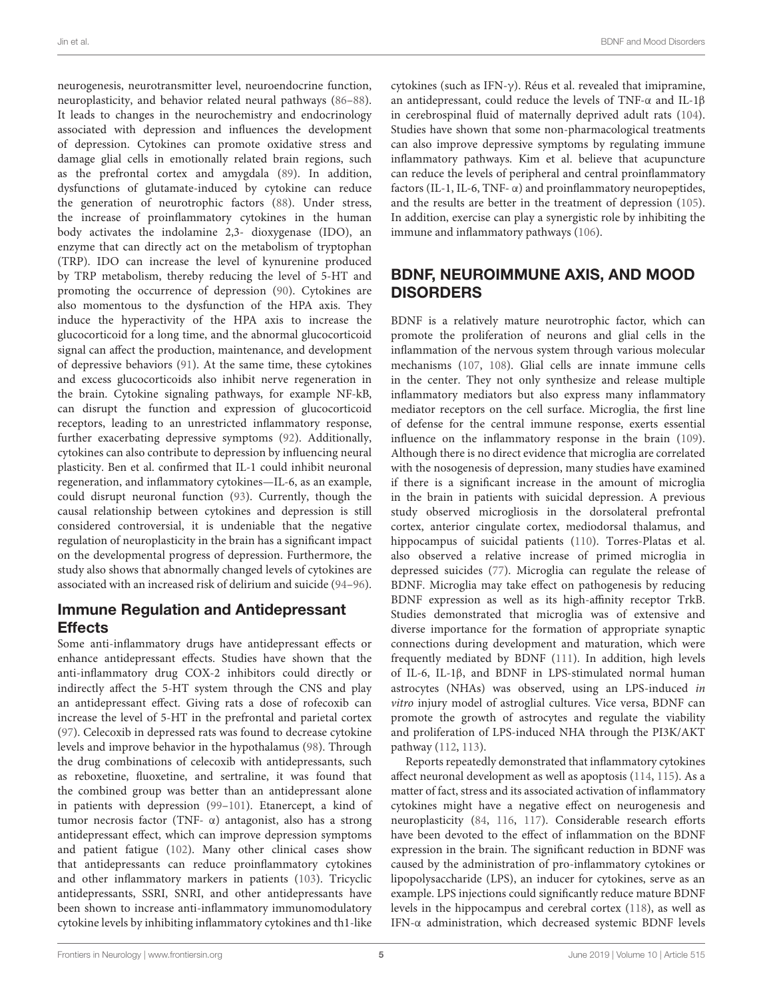neurogenesis, neurotransmitter level, neuroendocrine function, neuroplasticity, and behavior related neural pathways [\(86–](#page-8-9)[88\)](#page-8-10). It leads to changes in the neurochemistry and endocrinology associated with depression and influences the development of depression. Cytokines can promote oxidative stress and damage glial cells in emotionally related brain regions, such as the prefrontal cortex and amygdala [\(89\)](#page-8-11). In addition, dysfunctions of glutamate-induced by cytokine can reduce the generation of neurotrophic factors [\(88\)](#page-8-10). Under stress, the increase of proinflammatory cytokines in the human body activates the indolamine 2,3- dioxygenase (IDO), an enzyme that can directly act on the metabolism of tryptophan (TRP). IDO can increase the level of kynurenine produced by TRP metabolism, thereby reducing the level of 5-HT and promoting the occurrence of depression [\(90\)](#page-8-12). Cytokines are also momentous to the dysfunction of the HPA axis. They induce the hyperactivity of the HPA axis to increase the glucocorticoid for a long time, and the abnormal glucocorticoid signal can affect the production, maintenance, and development of depressive behaviors [\(91\)](#page-8-13). At the same time, these cytokines and excess glucocorticoids also inhibit nerve regeneration in the brain. Cytokine signaling pathways, for example NF-kB, can disrupt the function and expression of glucocorticoid receptors, leading to an unrestricted inflammatory response, further exacerbating depressive symptoms [\(92\)](#page-8-14). Additionally, cytokines can also contribute to depression by influencing neural plasticity. Ben et al. confirmed that IL-1 could inhibit neuronal regeneration, and inflammatory cytokines—IL-6, as an example, could disrupt neuronal function [\(93\)](#page-8-15). Currently, though the causal relationship between cytokines and depression is still considered controversial, it is undeniable that the negative regulation of neuroplasticity in the brain has a significant impact on the developmental progress of depression. Furthermore, the study also shows that abnormally changed levels of cytokines are associated with an increased risk of delirium and suicide [\(94–](#page-8-16)[96\)](#page-8-17).

#### Immune Regulation and Antidepressant Effects

Some anti-inflammatory drugs have antidepressant effects or enhance antidepressant effects. Studies have shown that the anti-inflammatory drug COX-2 inhibitors could directly or indirectly affect the 5-HT system through the CNS and play an antidepressant effect. Giving rats a dose of rofecoxib can increase the level of 5-HT in the prefrontal and parietal cortex [\(97\)](#page-8-18). Celecoxib in depressed rats was found to decrease cytokine levels and improve behavior in the hypothalamus [\(98\)](#page-8-19). Through the drug combinations of celecoxib with antidepressants, such as reboxetine, fluoxetine, and sertraline, it was found that the combined group was better than an antidepressant alone in patients with depression [\(99](#page-8-20)[–101\)](#page-8-21). Etanercept, a kind of tumor necrosis factor (TNF- α) antagonist, also has a strong antidepressant effect, which can improve depression symptoms and patient fatigue [\(102\)](#page-8-22). Many other clinical cases show that antidepressants can reduce proinflammatory cytokines and other inflammatory markers in patients [\(103\)](#page-8-23). Tricyclic antidepressants, SSRI, SNRI, and other antidepressants have been shown to increase anti-inflammatory immunomodulatory cytokine levels by inhibiting inflammatory cytokines and th1-like cytokines (such as IFN-γ). Réus et al. revealed that imipramine, an antidepressant, could reduce the levels of TNF-α and IL-1β in cerebrospinal fluid of maternally deprived adult rats [\(104\)](#page-8-24). Studies have shown that some non-pharmacological treatments can also improve depressive symptoms by regulating immune inflammatory pathways. Kim et al. believe that acupuncture can reduce the levels of peripheral and central proinflammatory factors (IL-1, IL-6, TNF- $\alpha$ ) and proinflammatory neuropeptides, and the results are better in the treatment of depression [\(105\)](#page-8-25). In addition, exercise can play a synergistic role by inhibiting the immune and inflammatory pathways [\(106\)](#page-8-26).

## BDNF, NEUROIMMUNE AXIS, AND MOOD **DISORDERS**

BDNF is a relatively mature neurotrophic factor, which can promote the proliferation of neurons and glial cells in the inflammation of the nervous system through various molecular mechanisms [\(107,](#page-8-27) [108\)](#page-8-28). Glial cells are innate immune cells in the center. They not only synthesize and release multiple inflammatory mediators but also express many inflammatory mediator receptors on the cell surface. Microglia, the first line of defense for the central immune response, exerts essential influence on the inflammatory response in the brain [\(109\)](#page-8-29). Although there is no direct evidence that microglia are correlated with the nosogenesis of depression, many studies have examined if there is a significant increase in the amount of microglia in the brain in patients with suicidal depression. A previous study observed microgliosis in the dorsolateral prefrontal cortex, anterior cingulate cortex, mediodorsal thalamus, and hippocampus of suicidal patients [\(110\)](#page-8-30). Torres-Platas et al. also observed a relative increase of primed microglia in depressed suicides [\(77\)](#page-8-1). Microglia can regulate the release of BDNF. Microglia may take effect on pathogenesis by reducing BDNF expression as well as its high-affinity receptor TrkB. Studies demonstrated that microglia was of extensive and diverse importance for the formation of appropriate synaptic connections during development and maturation, which were frequently mediated by BDNF [\(111\)](#page-9-0). In addition, high levels of IL-6, IL-1β, and BDNF in LPS-stimulated normal human astrocytes (NHAs) was observed, using an LPS-induced in vitro injury model of astroglial cultures. Vice versa, BDNF can promote the growth of astrocytes and regulate the viability and proliferation of LPS-induced NHA through the PI3K/AKT pathway [\(112,](#page-9-1) [113\)](#page-9-2).

Reports repeatedly demonstrated that inflammatory cytokines affect neuronal development as well as apoptosis [\(114,](#page-9-3) [115\)](#page-9-4). As a matter of fact, stress and its associated activation of inflammatory cytokines might have a negative effect on neurogenesis and neuroplasticity [\(84,](#page-8-7) [116,](#page-9-5) [117\)](#page-9-6). Considerable research efforts have been devoted to the effect of inflammation on the BDNF expression in the brain. The significant reduction in BDNF was caused by the administration of pro-inflammatory cytokines or lipopolysaccharide (LPS), an inducer for cytokines, serve as an example. LPS injections could significantly reduce mature BDNF levels in the hippocampus and cerebral cortex [\(118\)](#page-9-7), as well as IFN-α administration, which decreased systemic BDNF levels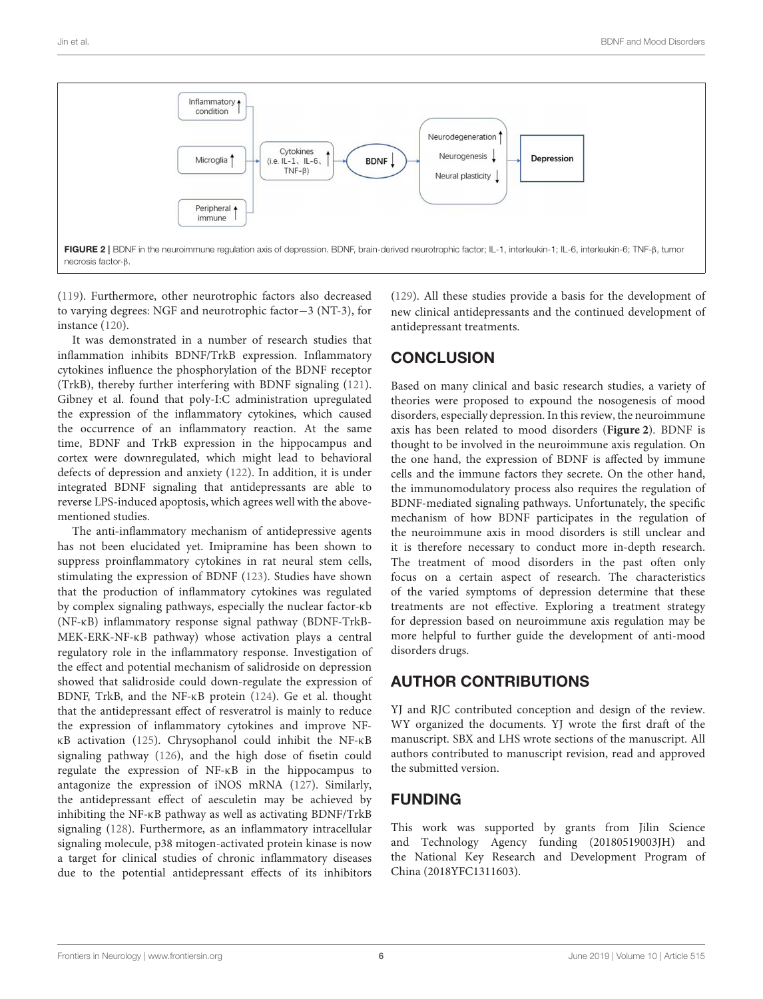

<span id="page-5-0"></span>[\(119\)](#page-9-8). Furthermore, other neurotrophic factors also decreased to varying degrees: NGF and neurotrophic factor−3 (NT-3), for instance [\(120\)](#page-9-9).

It was demonstrated in a number of research studies that inflammation inhibits BDNF/TrkB expression. Inflammatory cytokines influence the phosphorylation of the BDNF receptor (TrkB), thereby further interfering with BDNF signaling [\(121\)](#page-9-10). Gibney et al. found that poly-I:C administration upregulated the expression of the inflammatory cytokines, which caused the occurrence of an inflammatory reaction. At the same time, BDNF and TrkB expression in the hippocampus and cortex were downregulated, which might lead to behavioral defects of depression and anxiety [\(122\)](#page-9-11). In addition, it is under integrated BDNF signaling that antidepressants are able to reverse LPS-induced apoptosis, which agrees well with the abovementioned studies.

The anti-inflammatory mechanism of antidepressive agents has not been elucidated yet. Imipramine has been shown to suppress proinflammatory cytokines in rat neural stem cells, stimulating the expression of BDNF [\(123\)](#page-9-12). Studies have shown that the production of inflammatory cytokines was regulated by complex signaling pathways, especially the nuclear factor-κb (NF-κB) inflammatory response signal pathway (BDNF-TrkB-MEK-ERK-NF-κB pathway) whose activation plays a central regulatory role in the inflammatory response. Investigation of the effect and potential mechanism of salidroside on depression showed that salidroside could down-regulate the expression of BDNF, TrkB, and the NF-κB protein [\(124\)](#page-9-13). Ge et al. thought that the antidepressant effect of resveratrol is mainly to reduce the expression of inflammatory cytokines and improve NFκB activation [\(125\)](#page-9-14). Chrysophanol could inhibit the NF-κB signaling pathway [\(126\)](#page-9-15), and the high dose of fisetin could regulate the expression of NF-κB in the hippocampus to antagonize the expression of iNOS mRNA [\(127\)](#page-9-16). Similarly, the antidepressant effect of aesculetin may be achieved by inhibiting the NF-κB pathway as well as activating BDNF/TrkB signaling [\(128\)](#page-9-17). Furthermore, as an inflammatory intracellular signaling molecule, p38 mitogen-activated protein kinase is now a target for clinical studies of chronic inflammatory diseases due to the potential antidepressant effects of its inhibitors [\(129\)](#page-9-18). All these studies provide a basis for the development of new clinical antidepressants and the continued development of antidepressant treatments.

# **CONCLUSION**

Based on many clinical and basic research studies, a variety of theories were proposed to expound the nosogenesis of mood disorders, especially depression. In this review, the neuroimmune axis has been related to mood disorders (**[Figure 2](#page-5-0)**). BDNF is thought to be involved in the neuroimmune axis regulation. On the one hand, the expression of BDNF is affected by immune cells and the immune factors they secrete. On the other hand, the immunomodulatory process also requires the regulation of BDNF-mediated signaling pathways. Unfortunately, the specific mechanism of how BDNF participates in the regulation of the neuroimmune axis in mood disorders is still unclear and it is therefore necessary to conduct more in-depth research. The treatment of mood disorders in the past often only focus on a certain aspect of research. The characteristics of the varied symptoms of depression determine that these treatments are not effective. Exploring a treatment strategy for depression based on neuroimmune axis regulation may be more helpful to further guide the development of anti-mood disorders drugs.

# AUTHOR CONTRIBUTIONS

YJ and RJC contributed conception and design of the review. WY organized the documents. YJ wrote the first draft of the manuscript. SBX and LHS wrote sections of the manuscript. All authors contributed to manuscript revision, read and approved the submitted version.

## FUNDING

This work was supported by grants from Jilin Science and Technology Agency funding (20180519003JH) and the National Key Research and Development Program of China (2018YFC1311603).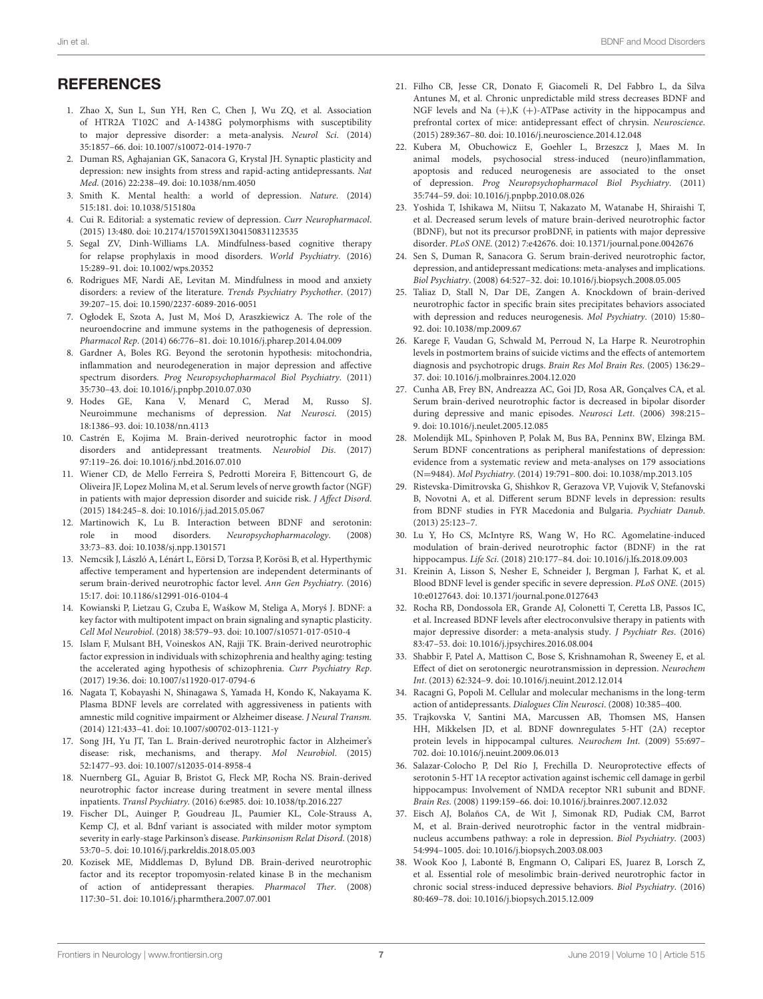#### **REFERENCES**

- <span id="page-6-0"></span>1. Zhao X, Sun L, Sun YH, Ren C, Chen J, Wu ZQ, et al. Association of HTR2A T102C and A-1438G polymorphisms with susceptibility to major depressive disorder: a meta-analysis. Neurol Sci. (2014) 35:1857–66. doi: [10.1007/s10072-014-1970-7](https://doi.org/10.1007/s10072-014-1970-7)
- <span id="page-6-1"></span>2. Duman RS, Aghajanian GK, Sanacora G, Krystal JH. Synaptic plasticity and depression: new insights from stress and rapid-acting antidepressants. Nat Med. (2016) 22:238–49. doi: [10.1038/nm.4050](https://doi.org/10.1038/nm.4050)
- <span id="page-6-2"></span>3. Smith K. Mental health: a world of depression. Nature. (2014) 515:181. doi: [10.1038/515180a](https://doi.org/10.1038/515180a)
- <span id="page-6-3"></span>4. Cui R. Editorial: a systematic review of depression. Curr Neuropharmacol. (2015) 13:480. doi: [10.2174/1570159X1304150831123535](https://doi.org/10.2174/1570159X1304150831123535)
- <span id="page-6-4"></span>5. Segal ZV, Dinh-Williams LA. Mindfulness-based cognitive therapy for relapse prophylaxis in mood disorders. World Psychiatry. (2016) 15:289–91. doi: [10.1002/wps.20352](https://doi.org/10.1002/wps.20352)
- <span id="page-6-5"></span>6. Rodrigues MF, Nardi AE, Levitan M. Mindfulness in mood and anxiety disorders: a review of the literature. Trends Psychiatry Psychother. (2017) 39:207–15. doi: [10.1590/2237-6089-2016-0051](https://doi.org/10.1590/2237-6089-2016-0051)
- <span id="page-6-6"></span>7. Ogłodek E, Szota A, Just M, Moś D, Araszkiewicz A. The role of the neuroendocrine and immune systems in the pathogenesis of depression. Pharmacol Rep. (2014) 66:776–81. doi: [10.1016/j.pharep.2014.04.009](https://doi.org/10.1016/j.pharep.2014.04.009)
- <span id="page-6-7"></span>8. Gardner A, Boles RG. Beyond the serotonin hypothesis: mitochondria, inflammation and neurodegeneration in major depression and affective spectrum disorders. Prog Neuropsychopharmacol Biol Psychiatry. (2011) 35:730–43. doi: [10.1016/j.pnpbp.2010.07.030](https://doi.org/10.1016/j.pnpbp.2010.07.030)
- <span id="page-6-8"></span>9. Hodes GE, Kana V, Menard C, Merad M, Russo SJ. Neuroimmune mechanisms of depression. Nat Neurosci. (2015) 18:1386–93. doi: [10.1038/nn.4113](https://doi.org/10.1038/nn.4113)
- <span id="page-6-9"></span>10. Castrén E, Kojima M. Brain-derived neurotrophic factor in mood disorders and antidepressant treatments. Neurobiol Dis. (2017) 97:119–26. doi: [10.1016/j.nbd.2016.07.010](https://doi.org/10.1016/j.nbd.2016.07.010)
- <span id="page-6-10"></span>11. Wiener CD, de Mello Ferreira S, Pedrotti Moreira F, Bittencourt G, de Oliveira JF, Lopez Molina M, et al. Serum levels of nerve growth factor (NGF) in patients with major depression disorder and suicide risk. J Affect Disord. (2015) 184:245–8. doi: [10.1016/j.jad.2015.05.067](https://doi.org/10.1016/j.jad.2015.05.067)
- <span id="page-6-11"></span>12. Martinowich K, Lu B. Interaction between BDNF and serotonin: role in mood disorders. Neuropsychopharmacology. (2008) 33:73–83. doi: [10.1038/sj.npp.1301571](https://doi.org/10.1038/sj.npp.1301571)
- <span id="page-6-12"></span>13. Nemcsik J, László A, Lénárt L, Eörsi D, Torzsa P, Korösi B, et al. Hyperthymic affective temperament and hypertension are independent determinants of serum brain-derived neurotrophic factor level. Ann Gen Psychiatry. (2016) 15:17. doi: [10.1186/s12991-016-0104-4](https://doi.org/10.1186/s12991-016-0104-4)
- <span id="page-6-13"></span>14. Kowianski P, Lietzau G, Czuba E, Waśkow M, Steliga A, Moryś J. BDNF: a key factor with multipotent impact on brain signaling and synaptic plasticity. Cell Mol Neurobiol. (2018) 38:579–93. doi: [10.1007/s10571-017-0510-4](https://doi.org/10.1007/s10571-017-0510-4)
- <span id="page-6-14"></span>15. Islam F, Mulsant BH, Voineskos AN, Rajji TK. Brain-derived neurotrophic factor expression in individuals with schizophrenia and healthy aging: testing the accelerated aging hypothesis of schizophrenia. Curr Psychiatry Rep. (2017) 19:36. doi: [10.1007/s11920-017-0794-6](https://doi.org/10.1007/s11920-017-0794-6)
- <span id="page-6-15"></span>16. Nagata T, Kobayashi N, Shinagawa S, Yamada H, Kondo K, Nakayama K. Plasma BDNF levels are correlated with aggressiveness in patients with amnestic mild cognitive impairment or Alzheimer disease. J Neural Transm. (2014) 121:433–41. doi: [10.1007/s00702-013-1121-y](https://doi.org/10.1007/s00702-013-1121-y)
- <span id="page-6-16"></span>17. Song JH, Yu JT, Tan L. Brain-derived neurotrophic factor in Alzheimer's disease: risk, mechanisms, and therapy. Mol Neurobiol. (2015) 52:1477–93. doi: [10.1007/s12035-014-8958-4](https://doi.org/10.1007/s12035-014-8958-4)
- <span id="page-6-17"></span>18. Nuernberg GL, Aguiar B, Bristot G, Fleck MP, Rocha NS. Brain-derived neurotrophic factor increase during treatment in severe mental illness inpatients. Transl Psychiatry. (2016) 6:e985. doi: [10.1038/tp.2016.227](https://doi.org/10.1038/tp.2016.227)
- <span id="page-6-18"></span>19. Fischer DL, Auinger P, Goudreau JL, Paumier KL, Cole-Strauss A, Kemp CJ, et al. Bdnf variant is associated with milder motor symptom severity in early-stage Parkinson's disease. Parkinsonism Relat Disord. (2018) 53:70–5. doi: [10.1016/j.parkreldis.2018.05.003](https://doi.org/10.1016/j.parkreldis.2018.05.003)
- <span id="page-6-19"></span>20. Kozisek ME, Middlemas D, Bylund DB. Brain-derived neurotrophic factor and its receptor tropomyosin-related kinase B in the mechanism of action of antidepressant therapies. Pharmacol Ther. (2008) 117:30–51. doi: [10.1016/j.pharmthera.2007.07.001](https://doi.org/10.1016/j.pharmthera.2007.07.001)
- <span id="page-6-20"></span>21. Filho CB, Jesse CR, Donato F, Giacomeli R, Del Fabbro L, da Silva Antunes M, et al. Chronic unpredictable mild stress decreases BDNF and NGF levels and Na  $(+)$ , K  $(+)$ -ATPase activity in the hippocampus and prefrontal cortex of mice: antidepressant effect of chrysin. Neuroscience. (2015) 289:367–80. doi: [10.1016/j.neuroscience.2014.12.048](https://doi.org/10.1016/j.neuroscience.2014.12.048)
- <span id="page-6-21"></span>22. Kubera M, Obuchowicz E, Goehler L, Brzeszcz J, Maes M. In animal models, psychosocial stress-induced (neuro)inflammation, apoptosis and reduced neurogenesis are associated to the onset of depression. Prog Neuropsychopharmacol Biol Psychiatry. (2011) 35:744–59. doi: [10.1016/j.pnpbp.2010.08.026](https://doi.org/10.1016/j.pnpbp.2010.08.026)
- <span id="page-6-22"></span>23. Yoshida T, Ishikawa M, Niitsu T, Nakazato M, Watanabe H, Shiraishi T, et al. Decreased serum levels of mature brain-derived neurotrophic factor (BDNF), but not its precursor proBDNF, in patients with major depressive disorder. PLoS ONE. (2012) 7:e42676. doi: [10.1371/journal.pone.0042676](https://doi.org/10.1371/journal.pone.0042676)
- <span id="page-6-28"></span>24. Sen S, Duman R, Sanacora G. Serum brain-derived neurotrophic factor, depression, and antidepressant medications: meta-analyses and implications. Biol Psychiatry. (2008) 64:527–32. doi: [10.1016/j.biopsych.2008.05.005](https://doi.org/10.1016/j.biopsych.2008.05.005)
- <span id="page-6-23"></span>25. Taliaz D, Stall N, Dar DE, Zangen A. Knockdown of brain-derived neurotrophic factor in specific brain sites precipitates behaviors associated with depression and reduces neurogenesis. Mol Psychiatry. (2010) 15:80– 92. doi: [10.1038/mp.2009.67](https://doi.org/10.1038/mp.2009.67)
- <span id="page-6-24"></span>26. Karege F, Vaudan G, Schwald M, Perroud N, La Harpe R. Neurotrophin levels in postmortem brains of suicide victims and the effects of antemortem diagnosis and psychotropic drugs. Brain Res Mol Brain Res. (2005) 136:29– 37. doi: [10.1016/j.molbrainres.2004.12.020](https://doi.org/10.1016/j.molbrainres.2004.12.020)
- <span id="page-6-25"></span>27. Cunha AB, Frey BN, Andreazza AC, Goi JD, Rosa AR, Gonçalves CA, et al. Serum brain-derived neurotrophic factor is decreased in bipolar disorder during depressive and manic episodes. Neurosci Lett. (2006) 398:215– 9. doi: [10.1016/j.neulet.2005.12.085](https://doi.org/10.1016/j.neulet.2005.12.085)
- <span id="page-6-26"></span>28. Molendijk ML, Spinhoven P, Polak M, Bus BA, Penninx BW, Elzinga BM. Serum BDNF concentrations as peripheral manifestations of depression: evidence from a systematic review and meta-analyses on 179 associations (N=9484). Mol Psychiatry. (2014) 19:791–800. doi: [10.1038/mp.2013.105](https://doi.org/10.1038/mp.2013.105)
- <span id="page-6-27"></span>29. Ristevska-Dimitrovska G, Shishkov R, Gerazova VP, Vujovik V, Stefanovski B, Novotni A, et al. Different serum BDNF levels in depression: results from BDNF studies in FYR Macedonia and Bulgaria. Psychiatr Danub. (2013) 25:123–7.
- <span id="page-6-29"></span>30. Lu Y, Ho CS, McIntyre RS, Wang W, Ho RC. Agomelatine-induced modulation of brain-derived neurotrophic factor (BDNF) in the rat hippocampus. Life Sci. (2018) 210:177–84. doi: [10.1016/j.lfs.2018.09.003](https://doi.org/10.1016/j.lfs.2018.09.003)
- <span id="page-6-30"></span>31. Kreinin A, Lisson S, Nesher E, Schneider J, Bergman J, Farhat K, et al. Blood BDNF level is gender specific in severe depression. PLoS ONE. (2015) 10:e0127643. doi: [10.1371/journal.pone.0127643](https://doi.org/10.1371/journal.pone.0127643)
- <span id="page-6-31"></span>32. Rocha RB, Dondossola ER, Grande AJ, Colonetti T, Ceretta LB, Passos IC, et al. Increased BDNF levels after electroconvulsive therapy in patients with major depressive disorder: a meta-analysis study. J Psychiatr Res. (2016) 83:47–53. doi: [10.1016/j.jpsychires.2016.08.004](https://doi.org/10.1016/j.jpsychires.2016.08.004)
- <span id="page-6-32"></span>33. Shabbir F, Patel A, Mattison C, Bose S, Krishnamohan R, Sweeney E, et al. Effect of diet on serotonergic neurotransmission in depression. Neurochem Int. (2013) 62:324–9. doi: [10.1016/j.neuint.2012.12.014](https://doi.org/10.1016/j.neuint.2012.12.014)
- <span id="page-6-33"></span>34. Racagni G, Popoli M. Cellular and molecular mechanisms in the long-term action of antidepressants. Dialogues Clin Neurosci. (2008) 10:385–400.
- <span id="page-6-34"></span>35. Trajkovska V, Santini MA, Marcussen AB, Thomsen MS, Hansen HH, Mikkelsen JD, et al. BDNF downregulates 5-HT (2A) receptor protein levels in hippocampal cultures. Neurochem Int. (2009) 55:697– 702. doi: [10.1016/j.neuint.2009.06.013](https://doi.org/10.1016/j.neuint.2009.06.013)
- <span id="page-6-35"></span>36. Salazar-Colocho P, Del Río J, Frechilla D. Neuroprotective effects of serotonin 5-HT 1A receptor activation against ischemic cell damage in gerbil hippocampus: Involvement of NMDA receptor NR1 subunit and BDNF. Brain Res. (2008) 1199:159–66. doi: [10.1016/j.brainres.2007.12.032](https://doi.org/10.1016/j.brainres.2007.12.032)
- <span id="page-6-36"></span>37. Eisch AJ, Bolaños CA, de Wit J, Simonak RD, Pudiak CM, Barrot M, et al. Brain-derived neurotrophic factor in the ventral midbrainnucleus accumbens pathway: a role in depression. Biol Psychiatry. (2003) 54:994–1005. doi: [10.1016/j.biopsych.2003.08.003](https://doi.org/10.1016/j.biopsych.2003.08.003)
- 38. Wook Koo J, Labonté B, Engmann O, Calipari ES, Juarez B, Lorsch Z, et al. Essential role of mesolimbic brain-derived neurotrophic factor in chronic social stress-induced depressive behaviors. Biol Psychiatry. (2016) 80:469–78. doi: [10.1016/j.biopsych.2015.12.009](https://doi.org/10.1016/j.biopsych.2015.12.009)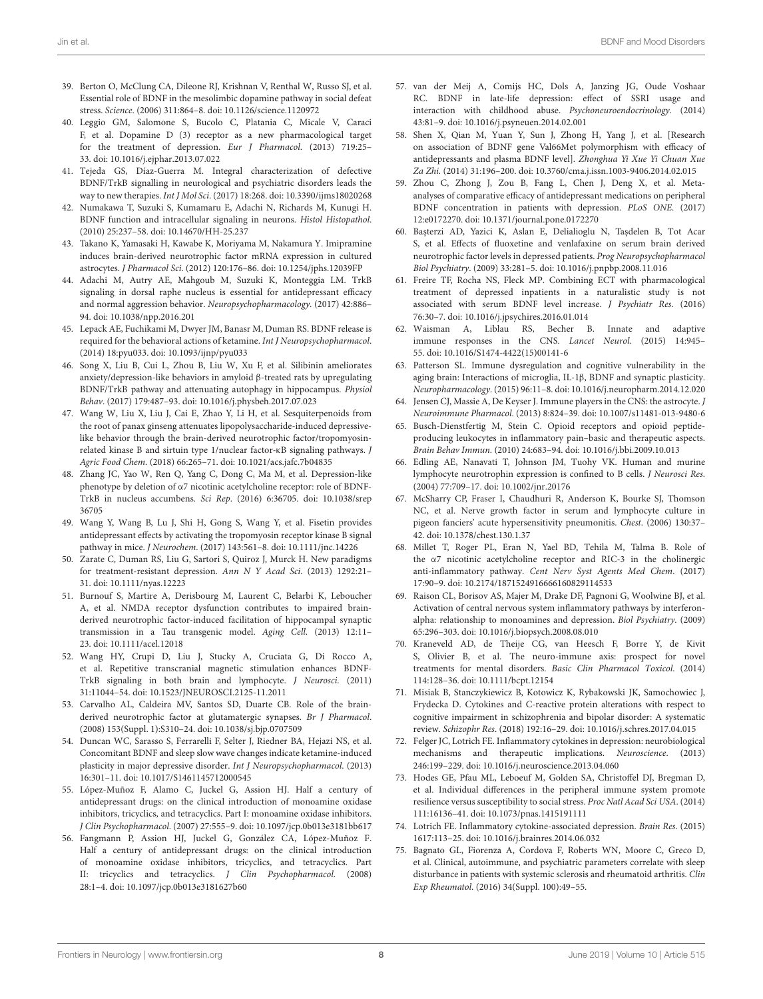- <span id="page-7-0"></span>39. Berton O, McClung CA, Dileone RJ, Krishnan V, Renthal W, Russo SJ, et al. Essential role of BDNF in the mesolimbic dopamine pathway in social defeat stress. Science. (2006) 311:864–8. doi: [10.1126/science.1120972](https://doi.org/10.1126/science.1120972)
- <span id="page-7-1"></span>40. Leggio GM, Salomone S, Bucolo C, Platania C, Micale V, Caraci F, et al. Dopamine D (3) receptor as a new pharmacological target for the treatment of depression. Eur J Pharmacol. (2013) 719:25– 33. doi: [10.1016/j.ejphar.2013.07.022](https://doi.org/10.1016/j.ejphar.2013.07.022)
- <span id="page-7-2"></span>41. Tejeda GS, Díaz-Guerra M. Integral characterization of defective BDNF/TrkB signalling in neurological and psychiatric disorders leads the way to new therapies. Int J Mol Sci. (2017) 18:268. doi: [10.3390/ijms18020268](https://doi.org/10.3390/ijms18020268)
- <span id="page-7-3"></span>42. Numakawa T, Suzuki S, Kumamaru E, Adachi N, Richards M, Kunugi H. BDNF function and intracellular signaling in neurons. Histol Histopathol. (2010) 25:237–58. doi: [10.14670/HH-25.237](https://doi.org/10.14670/HH-25.237)
- <span id="page-7-4"></span>43. Takano K, Yamasaki H, Kawabe K, Moriyama M, Nakamura Y. Imipramine induces brain-derived neurotrophic factor mRNA expression in cultured astrocytes. J Pharmacol Sci. (2012) 120:176–86. doi: [10.1254/jphs.12039FP](https://doi.org/10.1254/jphs.12039FP)
- <span id="page-7-5"></span>44. Adachi M, Autry AE, Mahgoub M, Suzuki K, Monteggia LM. TrkB signaling in dorsal raphe nucleus is essential for antidepressant efficacy and normal aggression behavior. Neuropsychopharmacology. (2017) 42:886– 94. doi: [10.1038/npp.2016.201](https://doi.org/10.1038/npp.2016.201)
- <span id="page-7-6"></span>45. Lepack AE, Fuchikami M, Dwyer JM, Banasr M, Duman RS. BDNF release is required for the behavioral actions of ketamine. Int J Neuropsychopharmacol. (2014) 18:pyu033. doi: [10.1093/ijnp/pyu033](https://doi.org/10.1093/ijnp/pyu033)
- <span id="page-7-7"></span>46. Song X, Liu B, Cui L, Zhou B, Liu W, Xu F, et al. Silibinin ameliorates anxiety/depression-like behaviors in amyloid β-treated rats by upregulating BDNF/TrkB pathway and attenuating autophagy in hippocampus. Physiol Behav. (2017) 179:487–93. doi: [10.1016/j.physbeh.2017.07.023](https://doi.org/10.1016/j.physbeh.2017.07.023)
- <span id="page-7-8"></span>47. Wang W, Liu X, Liu J, Cai E, Zhao Y, Li H, et al. Sesquiterpenoids from the root of panax ginseng attenuates lipopolysaccharide-induced depressivelike behavior through the brain-derived neurotrophic factor/tropomyosinrelated kinase B and sirtuin type 1/nuclear factor-κB signaling pathways. J Agric Food Chem. (2018) 66:265–71. doi: [10.1021/acs.jafc.7b04835](https://doi.org/10.1021/acs.jafc.7b04835)
- <span id="page-7-9"></span>48. Zhang JC, Yao W, Ren Q, Yang C, Dong C, Ma M, et al. Depression-like phenotype by deletion of α7 nicotinic acetylcholine receptor: role of BDNF-TrkB in nucleus accumbens. Sci Rep[. \(2016\) 6:36705. doi: 10.1038/srep](https://doi.org/10.1038/srep36705) 36705
- <span id="page-7-10"></span>49. Wang Y, Wang B, Lu J, Shi H, Gong S, Wang Y, et al. Fisetin provides antidepressant effects by activating the tropomyosin receptor kinase B signal pathway in mice. J Neurochem. (2017) 143:561–8. doi: [10.1111/jnc.14226](https://doi.org/10.1111/jnc.14226)
- <span id="page-7-11"></span>50. Zarate C, Duman RS, Liu G, Sartori S, Quiroz J, Murck H. New paradigms for treatment-resistant depression. Ann N Y Acad Sci. (2013) 1292:21– 31. doi: [10.1111/nyas.12223](https://doi.org/10.1111/nyas.12223)
- <span id="page-7-12"></span>51. Burnouf S, Martire A, Derisbourg M, Laurent C, Belarbi K, Leboucher A, et al. NMDA receptor dysfunction contributes to impaired brainderived neurotrophic factor-induced facilitation of hippocampal synaptic transmission in a Tau transgenic model. Aging Cell. (2013) 12:11– 23. doi: [10.1111/acel.12018](https://doi.org/10.1111/acel.12018)
- <span id="page-7-13"></span>52. Wang HY, Crupi D, Liu J, Stucky A, Cruciata G, Di Rocco A, et al. Repetitive transcranial magnetic stimulation enhances BDNF-TrkB signaling in both brain and lymphocyte. J Neurosci. (2011) 31:11044–54. doi: [10.1523/JNEUROSCI.2125-11.2011](https://doi.org/10.1523/JNEUROSCI.2125-11.2011)
- <span id="page-7-14"></span>53. Carvalho AL, Caldeira MV, Santos SD, Duarte CB. Role of the brainderived neurotrophic factor at glutamatergic synapses. Br J Pharmacol. (2008) 153(Suppl. 1):S310–24. doi: [10.1038/sj.bjp.0707509](https://doi.org/10.1038/sj.bjp.0707509)
- <span id="page-7-15"></span>54. Duncan WC, Sarasso S, Ferrarelli F, Selter J, Riedner BA, Hejazi NS, et al. Concomitant BDNF and sleep slow wave changes indicate ketamine-induced plasticity in major depressive disorder. Int J Neuropsychopharmacol. (2013) 16:301–11. doi: [10.1017/S1461145712000545](https://doi.org/10.1017/S1461145712000545)
- <span id="page-7-16"></span>55. López-Muñoz F, Alamo C, Juckel G, Assion HJ. Half a century of antidepressant drugs: on the clinical introduction of monoamine oxidase inhibitors, tricyclics, and tetracyclics. Part I: monoamine oxidase inhibitors. J Clin Psychopharmacol. (2007) 27:555–9. doi: [10.1097/jcp.0b013e3181bb617](https://doi.org/10.1097/jcp.0b013e3181bb617)
- <span id="page-7-17"></span>56. Fangmann P, Assion HJ, Juckel G, González CA, López-Muñoz F. Half a century of antidepressant drugs: on the clinical introduction of monoamine oxidase inhibitors, tricyclics, and tetracyclics. Part II: tricyclics and tetracyclics. J Clin Psychopharmacol. (2008) 28:1–4. doi: [10.1097/jcp.0b013e3181627b60](https://doi.org/10.1097/jcp.0b013e3181627b60)
- <span id="page-7-18"></span>57. van der Meij A, Comijs HC, Dols A, Janzing JG, Oude Voshaar RC. BDNF in late-life depression: effect of SSRI usage and interaction with childhood abuse. Psychoneuroendocrinology. (2014) 43:81–9. doi: [10.1016/j.psyneuen.2014.02.001](https://doi.org/10.1016/j.psyneuen.2014.02.001)
- <span id="page-7-19"></span>58. Shen X, Qian M, Yuan Y, Sun J, Zhong H, Yang J, et al. [Research on association of BDNF gene Val66Met polymorphism with efficacy of antidepressants and plasma BDNF level]. Zhonghua Yi Xue Yi Chuan Xue Za Zhi. (2014) 31:196–200. doi: [10.3760/cma.j.issn.1003-9406.2014.02.015](https://doi.org/10.3760/cma.j.issn.1003-9406.2014.02.015)
- <span id="page-7-20"></span>59. Zhou C, Zhong J, Zou B, Fang L, Chen J, Deng X, et al. Metaanalyses of comparative efficacy of antidepressant medications on peripheral BDNF concentration in patients with depression. PLoS ONE. (2017) 12:e0172270. doi: [10.1371/journal.pone.0172270](https://doi.org/10.1371/journal.pone.0172270)
- <span id="page-7-21"></span>60. Ba¸sterzi AD, Yazici K, Aslan E, Delialioglu N, Ta¸sdelen B, Tot Acar S, et al. Effects of fluoxetine and venlafaxine on serum brain derived neurotrophic factor levels in depressed patients. Prog Neuropsychopharmacol Biol Psychiatry. (2009) 33:281–5. doi: [10.1016/j.pnpbp.2008.11.016](https://doi.org/10.1016/j.pnpbp.2008.11.016)
- <span id="page-7-22"></span>61. Freire TF, Rocha NS, Fleck MP. Combining ECT with pharmacological treatment of depressed inpatients in a naturalistic study is not associated with serum BDNF level increase. J Psychiatr Res. (2016) 76:30–7. doi: [10.1016/j.jpsychires.2016.01.014](https://doi.org/10.1016/j.jpsychires.2016.01.014)
- <span id="page-7-23"></span>62. Waisman A, Liblau RS, Becher B. Innate and adaptive immune responses in the CNS. Lancet Neurol. (2015) 14:945– 55. doi: [10.1016/S1474-4422\(15\)00141-6](https://doi.org/10.1016/S1474-4422(15)00141-6)
- <span id="page-7-24"></span>63. Patterson SL. Immune dysregulation and cognitive vulnerability in the aging brain: Interactions of microglia, IL-1β, BDNF and synaptic plasticity. Neuropharmacology. (2015) 96:11–8. doi: [10.1016/j.neuropharm.2014.12.020](https://doi.org/10.1016/j.neuropharm.2014.12.020)
- <span id="page-7-25"></span>64. Jensen CJ, Massie A, De Keyser J. Immune players in the CNS: the astrocyte. J Neuroimmune Pharmacol. (2013) 8:824–39. doi: [10.1007/s11481-013-9480-6](https://doi.org/10.1007/s11481-013-9480-6)
- <span id="page-7-26"></span>65. Busch-Dienstfertig M, Stein C. Opioid receptors and opioid peptideproducing leukocytes in inflammatory pain–basic and therapeutic aspects. Brain Behav Immun. (2010) 24:683–94. doi: [10.1016/j.bbi.2009.10.013](https://doi.org/10.1016/j.bbi.2009.10.013)
- <span id="page-7-27"></span>66. Edling AE, Nanavati T, Johnson JM, Tuohy VK. Human and murine lymphocyte neurotrophin expression is confined to B cells. J Neurosci Res. (2004) 77:709–17. doi: [10.1002/jnr.20176](https://doi.org/10.1002/jnr.20176)
- <span id="page-7-28"></span>67. McSharry CP, Fraser I, Chaudhuri R, Anderson K, Bourke SJ, Thomson NC, et al. Nerve growth factor in serum and lymphocyte culture in pigeon fanciers' acute hypersensitivity pneumonitis. Chest. (2006) 130:37– 42. doi: [10.1378/chest.130.1.37](https://doi.org/10.1378/chest.130.1.37)
- <span id="page-7-29"></span>68. Millet T, Roger PL, Eran N, Yael BD, Tehila M, Talma B. Role of the α7 nicotinic acetylcholine receptor and RIC-3 in the cholinergic anti-inflammatory pathway. Cent Nerv Syst Agents Med Chem. (2017) 17:90–9. doi: [10.2174/1871524916666160829114533](https://doi.org/10.2174/1871524916666160829114533)
- <span id="page-7-30"></span>69. Raison CL, Borisov AS, Majer M, Drake DF, Pagnoni G, Woolwine BJ, et al. Activation of central nervous system inflammatory pathways by interferonalpha: relationship to monoamines and depression. Biol Psychiatry. (2009) 65:296–303. doi: [10.1016/j.biopsych.2008.08.010](https://doi.org/10.1016/j.biopsych.2008.08.010)
- <span id="page-7-31"></span>70. Kraneveld AD, de Theije CG, van Heesch F, Borre Y, de Kivit S, Olivier B, et al. The neuro-immune axis: prospect for novel treatments for mental disorders. Basic Clin Pharmacol Toxicol. (2014) 114:128–36. doi: [10.1111/bcpt.12154](https://doi.org/10.1111/bcpt.12154)
- <span id="page-7-32"></span>71. Misiak B, Stanczykiewicz B, Kotowicz K, Rybakowski JK, Samochowiec J, Frydecka D. Cytokines and C-reactive protein alterations with respect to cognitive impairment in schizophrenia and bipolar disorder: A systematic review. Schizophr Res. (2018) 192:16–29. doi: [10.1016/j.schres.2017.04.015](https://doi.org/10.1016/j.schres.2017.04.015)
- <span id="page-7-33"></span>72. Felger JC, Lotrich FE. Inflammatory cytokines in depression: neurobiological mechanisms and therapeutic implications. Neuroscience. (2013) 246:199–229. doi: [10.1016/j.neuroscience.2013.04.060](https://doi.org/10.1016/j.neuroscience.2013.04.060)
- <span id="page-7-34"></span>73. Hodes GE, Pfau ML, Leboeuf M, Golden SA, Christoffel DJ, Bregman D, et al. Individual differences in the peripheral immune system promote resilience versus susceptibility to social stress. Proc Natl Acad Sci USA. (2014) 111:16136–41. doi: [10.1073/pnas.1415191111](https://doi.org/10.1073/pnas.1415191111)
- <span id="page-7-35"></span>74. Lotrich FE. Inflammatory cytokine-associated depression. Brain Res. (2015) 1617:113–25. doi: [10.1016/j.brainres.2014.06.032](https://doi.org/10.1016/j.brainres.2014.06.032)
- <span id="page-7-36"></span>75. Bagnato GL, Fiorenza A, Cordova F, Roberts WN, Moore C, Greco D, et al. Clinical, autoimmune, and psychiatric parameters correlate with sleep disturbance in patients with systemic sclerosis and rheumatoid arthritis. Clin Exp Rheumatol. (2016) 34(Suppl. 100):49–55.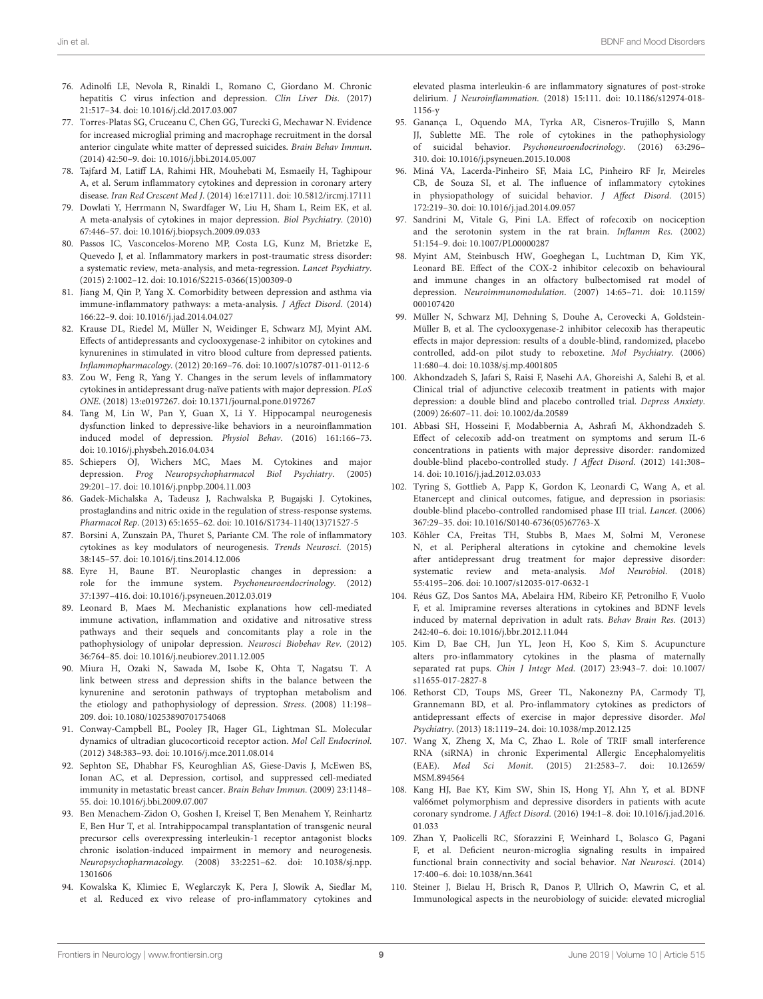- <span id="page-8-0"></span>76. Adinolfi LE, Nevola R, Rinaldi L, Romano C, Giordano M. Chronic hepatitis C virus infection and depression. Clin Liver Dis. (2017) 21:517–34. doi: [10.1016/j.cld.2017.03.007](https://doi.org/10.1016/j.cld.2017.03.007)
- <span id="page-8-1"></span>77. Torres-Platas SG, Cruceanu C, Chen GG, Turecki G, Mechawar N. Evidence for increased microglial priming and macrophage recruitment in the dorsal anterior cingulate white matter of depressed suicides. Brain Behav Immun. (2014) 42:50–9. doi: [10.1016/j.bbi.2014.05.007](https://doi.org/10.1016/j.bbi.2014.05.007)
- <span id="page-8-2"></span>78. Tajfard M, Latiff LA, Rahimi HR, Mouhebati M, Esmaeily H, Taghipour A, et al. Serum inflammatory cytokines and depression in coronary artery disease. Iran Red Crescent Med J. (2014) 16:e17111. doi: [10.5812/ircmj.17111](https://doi.org/10.5812/ircmj.17111)
- <span id="page-8-3"></span>79. Dowlati Y, Herrmann N, Swardfager W, Liu H, Sham L, Reim EK, et al. A meta-analysis of cytokines in major depression. Biol Psychiatry. (2010) 67:446–57. doi: [10.1016/j.biopsych.2009.09.033](https://doi.org/10.1016/j.biopsych.2009.09.033)
- 80. Passos IC, Vasconcelos-Moreno MP, Costa LG, Kunz M, Brietzke E, Quevedo J, et al. Inflammatory markers in post-traumatic stress disorder: a systematic review, meta-analysis, and meta-regression. Lancet Psychiatry. (2015) 2:1002–12. doi: [10.1016/S2215-0366\(15\)00309-0](https://doi.org/10.1016/S2215-0366(15)00309-0)
- <span id="page-8-4"></span>81. Jiang M, Qin P, Yang X. Comorbidity between depression and asthma via immune-inflammatory pathways: a meta-analysis. J Affect Disord. (2014) 166:22–9. doi: [10.1016/j.jad.2014.04.027](https://doi.org/10.1016/j.jad.2014.04.027)
- <span id="page-8-5"></span>82. Krause DL, Riedel M, Müller N, Weidinger E, Schwarz MJ, Myint AM. Effects of antidepressants and cyclooxygenase-2 inhibitor on cytokines and kynurenines in stimulated in vitro blood culture from depressed patients. Inflammopharmacology. (2012) 20:169–76. doi: [10.1007/s10787-011-0112-6](https://doi.org/10.1007/s10787-011-0112-6)
- <span id="page-8-6"></span>83. Zou W, Feng R, Yang Y. Changes in the serum levels of inflammatory cytokines in antidepressant drug-naïve patients with major depression. PLoS ONE. (2018) 13:e0197267. doi: [10.1371/journal.pone.0197267](https://doi.org/10.1371/journal.pone.0197267)
- <span id="page-8-7"></span>84. Tang M, Lin W, Pan Y, Guan X, Li Y. Hippocampal neurogenesis dysfunction linked to depressive-like behaviors in a neuroinflammation induced model of depression. Physiol Behav. (2016) 161:166–73. doi: [10.1016/j.physbeh.2016.04.034](https://doi.org/10.1016/j.physbeh.2016.04.034)
- <span id="page-8-8"></span>85. Schiepers OJ, Wichers MC, Maes M. Cytokines and major depression. Prog Neuropsychopharmacol Biol Psychiatry. (2005) 29:201–17. doi: [10.1016/j.pnpbp.2004.11.003](https://doi.org/10.1016/j.pnpbp.2004.11.003)
- <span id="page-8-9"></span>86. Gadek-Michalska A, Tadeusz J, Rachwalska P, Bugajski J. Cytokines, prostaglandins and nitric oxide in the regulation of stress-response systems. Pharmacol Rep. (2013) 65:1655–62. doi: [10.1016/S1734-1140\(13\)71527-5](https://doi.org/10.1016/S1734-1140(13)71527-5)
- 87. Borsini A, Zunszain PA, Thuret S, Pariante CM. The role of inflammatory cytokines as key modulators of neurogenesis. Trends Neurosci. (2015) 38:145–57. doi: [10.1016/j.tins.2014.12.006](https://doi.org/10.1016/j.tins.2014.12.006)
- <span id="page-8-10"></span>88. Eyre H, Baune BT. Neuroplastic changes in depression: a role for the immune system. Psychoneuroendocrinology. (2012) 37:1397–416. doi: [10.1016/j.psyneuen.2012.03.019](https://doi.org/10.1016/j.psyneuen.2012.03.019)
- <span id="page-8-11"></span>89. Leonard B, Maes M. Mechanistic explanations how cell-mediated immune activation, inflammation and oxidative and nitrosative stress pathways and their sequels and concomitants play a role in the pathophysiology of unipolar depression. Neurosci Biobehav Rev. (2012) 36:764–85. doi: [10.1016/j.neubiorev.2011.12.005](https://doi.org/10.1016/j.neubiorev.2011.12.005)
- <span id="page-8-12"></span>90. Miura H, Ozaki N, Sawada M, Isobe K, Ohta T, Nagatsu T. A link between stress and depression shifts in the balance between the kynurenine and serotonin pathways of tryptophan metabolism and the etiology and pathophysiology of depression. Stress. (2008) 11:198– 209. doi: [10.1080/10253890701754068](https://doi.org/10.1080/10253890701754068)
- <span id="page-8-13"></span>91. Conway-Campbell BL, Pooley JR, Hager GL, Lightman SL. Molecular dynamics of ultradian glucocorticoid receptor action. Mol Cell Endocrinol. (2012) 348:383–93. doi: [10.1016/j.mce.2011.08.014](https://doi.org/10.1016/j.mce.2011.08.014)
- <span id="page-8-14"></span>92. Sephton SE, Dhabhar FS, Keuroghlian AS, Giese-Davis J, McEwen BS, Ionan AC, et al. Depression, cortisol, and suppressed cell-mediated immunity in metastatic breast cancer. Brain Behav Immun. (2009) 23:1148– 55. doi: [10.1016/j.bbi.2009.07.007](https://doi.org/10.1016/j.bbi.2009.07.007)
- <span id="page-8-15"></span>93. Ben Menachem-Zidon O, Goshen I, Kreisel T, Ben Menahem Y, Reinhartz E, Ben Hur T, et al. Intrahippocampal transplantation of transgenic neural precursor cells overexpressing interleukin-1 receptor antagonist blocks chronic isolation-induced impairment in memory and neurogenesis. Neuropsychopharmacology[. \(2008\) 33:2251–62. doi: 10.1038/sj.npp.](https://doi.org/10.1038/sj.npp.1301606) 1301606
- <span id="page-8-16"></span>94. Kowalska K, Klimiec E, Weglarczyk K, Pera J, Slowik A, Siedlar M, et al. Reduced ex vivo release of pro-inflammatory cytokines and

elevated plasma interleukin-6 are inflammatory signatures of post-stroke delirium. J Neuroinflammation[. \(2018\) 15:111. doi: 10.1186/s12974-018-](https://doi.org/10.1186/s12974-018-1156-y) 1156-y

- 95. Ganança L, Oquendo MA, Tyrka AR, Cisneros-Trujillo S, Mann JJ, Sublette ME. The role of cytokines in the pathophysiology of suicidal behavior. Psychoneuroendocrinology. (2016) 63:296– 310. doi: [10.1016/j.psyneuen.2015.10.008](https://doi.org/10.1016/j.psyneuen.2015.10.008)
- <span id="page-8-17"></span>96. Miná VA, Lacerda-Pinheiro SF, Maia LC, Pinheiro RF Jr, Meireles CB, de Souza SI, et al. The influence of inflammatory cytokines in physiopathology of suicidal behavior. J Affect Disord. (2015) 172:219–30. doi: [10.1016/j.jad.2014.09.057](https://doi.org/10.1016/j.jad.2014.09.057)
- <span id="page-8-18"></span>97. Sandrini M, Vitale G, Pini LA. Effect of rofecoxib on nociception and the serotonin system in the rat brain. Inflamm Res. (2002) 51:154–9. doi: [10.1007/PL00000287](https://doi.org/10.1007/PL00000287)
- <span id="page-8-19"></span>98. Myint AM, Steinbusch HW, Goeghegan L, Luchtman D, Kim YK, Leonard BE. Effect of the COX-2 inhibitor celecoxib on behavioural and immune changes in an olfactory bulbectomised rat model of depression. Neuroimmunomodulation[. \(2007\) 14:65–71. doi: 10.1159/](https://doi.org/10.1159/000107420) 000107420
- <span id="page-8-20"></span>99. Müller N, Schwarz MJ, Dehning S, Douhe A, Cerovecki A, Goldstein-Müller B, et al. The cyclooxygenase-2 inhibitor celecoxib has therapeutic effects in major depression: results of a double-blind, randomized, placebo controlled, add-on pilot study to reboxetine. Mol Psychiatry. (2006) 11:680–4. doi: [10.1038/sj.mp.4001805](https://doi.org/10.1038/sj.mp.4001805)
- 100. Akhondzadeh S, Jafari S, Raisi F, Nasehi AA, Ghoreishi A, Salehi B, et al. Clinical trial of adjunctive celecoxib treatment in patients with major depression: a double blind and placebo controlled trial. Depress Anxiety. (2009) 26:607–11. doi: [10.1002/da.20589](https://doi.org/10.1002/da.20589)
- <span id="page-8-21"></span>101. Abbasi SH, Hosseini F, Modabbernia A, Ashrafi M, Akhondzadeh S. Effect of celecoxib add-on treatment on symptoms and serum IL-6 concentrations in patients with major depressive disorder: randomized double-blind placebo-controlled study. J Affect Disord. (2012) 141:308– 14. doi: [10.1016/j.jad.2012.03.033](https://doi.org/10.1016/j.jad.2012.03.033)
- <span id="page-8-22"></span>102. Tyring S, Gottlieb A, Papp K, Gordon K, Leonardi C, Wang A, et al. Etanercept and clinical outcomes, fatigue, and depression in psoriasis: double-blind placebo-controlled randomised phase III trial. Lancet. (2006) 367:29–35. doi: [10.1016/S0140-6736\(05\)67763-X](https://doi.org/10.1016/S0140-6736(05)67763-X)
- <span id="page-8-23"></span>103. Köhler CA, Freitas TH, Stubbs B, Maes M, Solmi M, Veronese N, et al. Peripheral alterations in cytokine and chemokine levels after antidepressant drug treatment for major depressive disorder: systematic review and meta-analysis. Mol Neurobiol. (2018) 55:4195–206. doi: [10.1007/s12035-017-0632-1](https://doi.org/10.1007/s12035-017-0632-1)
- <span id="page-8-24"></span>104. Réus GZ, Dos Santos MA, Abelaira HM, Ribeiro KF, Petronilho F, Vuolo F, et al. Imipramine reverses alterations in cytokines and BDNF levels induced by maternal deprivation in adult rats. Behav Brain Res. (2013) 242:40–6. doi: [10.1016/j.bbr.2012.11.044](https://doi.org/10.1016/j.bbr.2012.11.044)
- <span id="page-8-25"></span>105. Kim D, Bae CH, Jun YL, Jeon H, Koo S, Kim S. Acupuncture alters pro-inflammatory cytokines in the plasma of maternally separated rat pups. Chin J Integr Med[. \(2017\) 23:943–7. doi: 10.1007/](https://doi.org/10.1007/s11655-017-2827-8) s11655-017-2827-8
- <span id="page-8-26"></span>106. Rethorst CD, Toups MS, Greer TL, Nakonezny PA, Carmody TJ, Grannemann BD, et al. Pro-inflammatory cytokines as predictors of antidepressant effects of exercise in major depressive disorder. Mol Psychiatry. (2013) 18:1119–24. doi: [10.1038/mp.2012.125](https://doi.org/10.1038/mp.2012.125)
- <span id="page-8-27"></span>107. Wang X, Zheng X, Ma C, Zhao L. Role of TRIF small interference RNA (siRNA) in chronic Experimental Allergic Encephalomyelitis (EAE). Med Sci Monit[. \(2015\) 21:2583–7. doi: 10.12659/](https://doi.org/10.12659/MSM.894564) MSM.894564
- <span id="page-8-28"></span>108. Kang HJ, Bae KY, Kim SW, Shin IS, Hong YJ, Ahn Y, et al. BDNF val66met polymorphism and depressive disorders in patients with acute coronary syndrome. J Affect Disord[. \(2016\) 194:1–8. doi: 10.1016/j.jad.2016.](https://doi.org/10.1016/j.jad.2016.01.033) 01.033
- <span id="page-8-29"></span>109. Zhan Y, Paolicelli RC, Sforazzini F, Weinhard L, Bolasco G, Pagani F, et al. Deficient neuron-microglia signaling results in impaired functional brain connectivity and social behavior. Nat Neurosci. (2014) 17:400–6. doi: [10.1038/nn.3641](https://doi.org/10.1038/nn.3641)
- <span id="page-8-30"></span>110. Steiner J, Bielau H, Brisch R, Danos P, Ullrich O, Mawrin C, et al. Immunological aspects in the neurobiology of suicide: elevated microglial